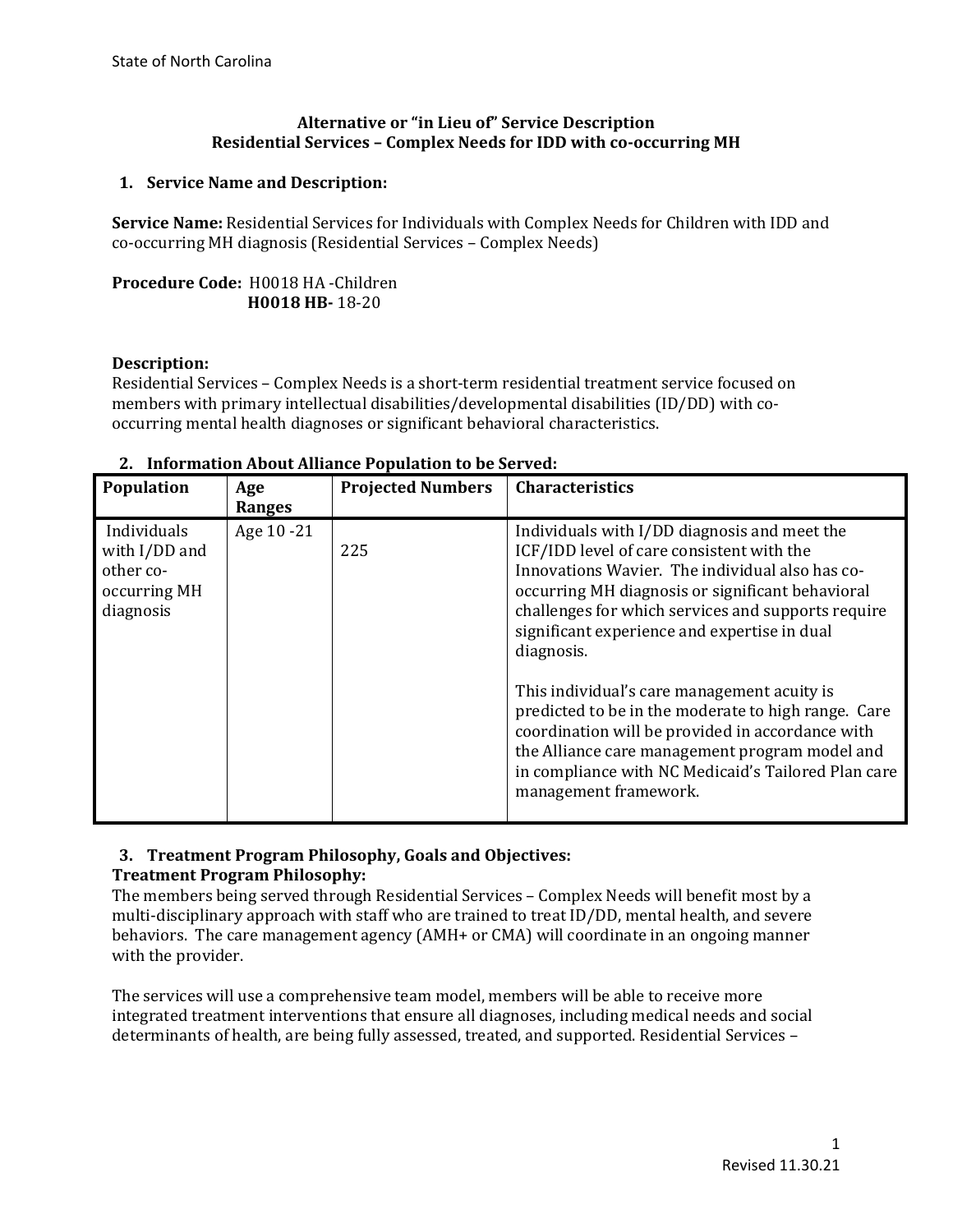## **Alternative or "in Lieu of" Service Description Residential Services – Complex Needs for IDD with co-occurring MH**

# **1. Service Name and Description:**

**Service Name:** Residential Services for Individuals with Complex Needs for Children with IDD and co-occurring MH diagnosis (Residential Services – Complex Needs)

# **Procedure Code:** H0018 HA -Children  **H0018 HB-** 18-20

#### **Description:**

Residential Services – Complex Needs is a short-term residential treatment service focused on members with primary intellectual disabilities/developmental disabilities (ID/DD) with cooccurring mental health diagnoses or significant behavioral characteristics.

| Population                                                             | Age<br>Ranges | <b>Projected Numbers</b> | <b>Characteristics</b>                                                                                                                                                                                                                                                                                                                                                                                                                                                                                                                                                                                           |
|------------------------------------------------------------------------|---------------|--------------------------|------------------------------------------------------------------------------------------------------------------------------------------------------------------------------------------------------------------------------------------------------------------------------------------------------------------------------------------------------------------------------------------------------------------------------------------------------------------------------------------------------------------------------------------------------------------------------------------------------------------|
| Individuals<br>with I/DD and<br>other co-<br>occurring MH<br>diagnosis | Age 10 -21    | 225                      | Individuals with I/DD diagnosis and meet the<br>ICF/IDD level of care consistent with the<br>Innovations Wavier. The individual also has co-<br>occurring MH diagnosis or significant behavioral<br>challenges for which services and supports require<br>significant experience and expertise in dual<br>diagnosis.<br>This individual's care management acuity is<br>predicted to be in the moderate to high range. Care<br>coordination will be provided in accordance with<br>the Alliance care management program model and<br>in compliance with NC Medicaid's Tailored Plan care<br>management framework. |

#### **2. Information About Alliance Population to be Served:**

# **3. Treatment Program Philosophy, Goals and Objectives:**

#### **Treatment Program Philosophy:**

The members being served through Residential Services – Complex Needs will benefit most by a multi-disciplinary approach with staff who are trained to treat ID/DD, mental health, and severe behaviors. The care management agency (AMH+ or CMA) will coordinate in an ongoing manner with the provider.

The services will use a comprehensive team model, members will be able to receive more integrated treatment interventions that ensure all diagnoses, including medical needs and social determinants of health, are being fully assessed, treated, and supported. Residential Services –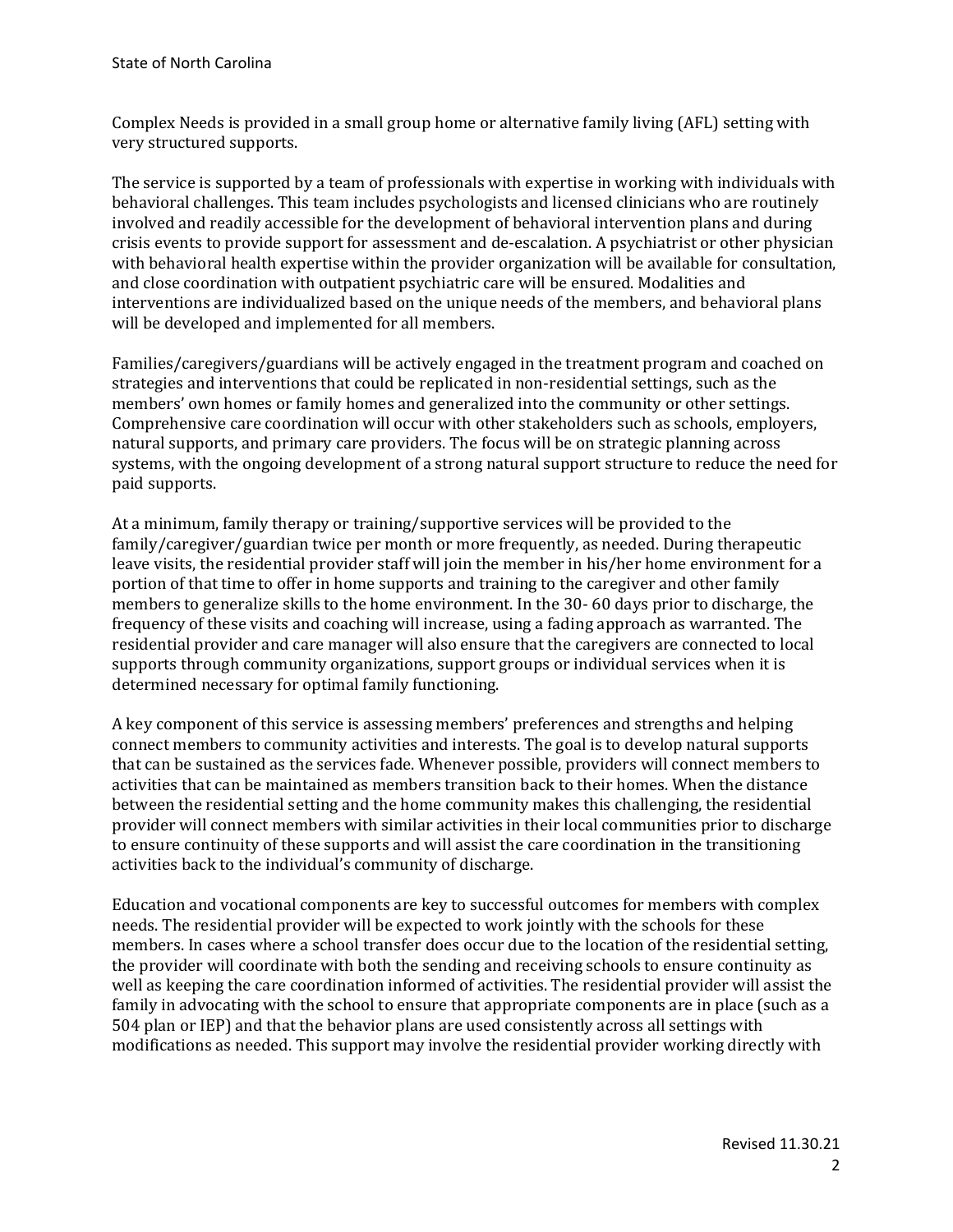Complex Needs is provided in a small group home or alternative family living (AFL) setting with very structured supports.

The service is supported by a team of professionals with expertise in working with individuals with behavioral challenges. This team includes psychologists and licensed clinicians who are routinely involved and readily accessible for the development of behavioral intervention plans and during crisis events to provide support for assessment and de-escalation. A psychiatrist or other physician with behavioral health expertise within the provider organization will be available for consultation, and close coordination with outpatient psychiatric care will be ensured. Modalities and interventions are individualized based on the unique needs of the members, and behavioral plans will be developed and implemented for all members.

Families/caregivers/guardians will be actively engaged in the treatment program and coached on strategies and interventions that could be replicated in non-residential settings, such as the members' own homes or family homes and generalized into the community or other settings. Comprehensive care coordination will occur with other stakeholders such as schools, employers, natural supports, and primary care providers. The focus will be on strategic planning across systems, with the ongoing development of a strong natural support structure to reduce the need for paid supports.

At a minimum, family therapy or training/supportive services will be provided to the family/caregiver/guardian twice per month or more frequently, as needed. During therapeutic leave visits, the residential provider staff will join the member in his/her home environment for a portion of that time to offer in home supports and training to the caregiver and other family members to generalize skills to the home environment. In the 30- 60 days prior to discharge, the frequency of these visits and coaching will increase, using a fading approach as warranted. The residential provider and care manager will also ensure that the caregivers are connected to local supports through community organizations, support groups or individual services when it is determined necessary for optimal family functioning.

A key component of this service is assessing members' preferences and strengths and helping connect members to community activities and interests. The goal is to develop natural supports that can be sustained as the services fade. Whenever possible, providers will connect members to activities that can be maintained as members transition back to their homes. When the distance between the residential setting and the home community makes this challenging, the residential provider will connect members with similar activities in their local communities prior to discharge to ensure continuity of these supports and will assist the care coordination in the transitioning activities back to the individual's community of discharge.

Education and vocational components are key to successful outcomes for members with complex needs. The residential provider will be expected to work jointly with the schools for these members. In cases where a school transfer does occur due to the location of the residential setting, the provider will coordinate with both the sending and receiving schools to ensure continuity as well as keeping the care coordination informed of activities. The residential provider will assist the family in advocating with the school to ensure that appropriate components are in place (such as a 504 plan or IEP) and that the behavior plans are used consistently across all settings with modifications as needed. This support may involve the residential provider working directly with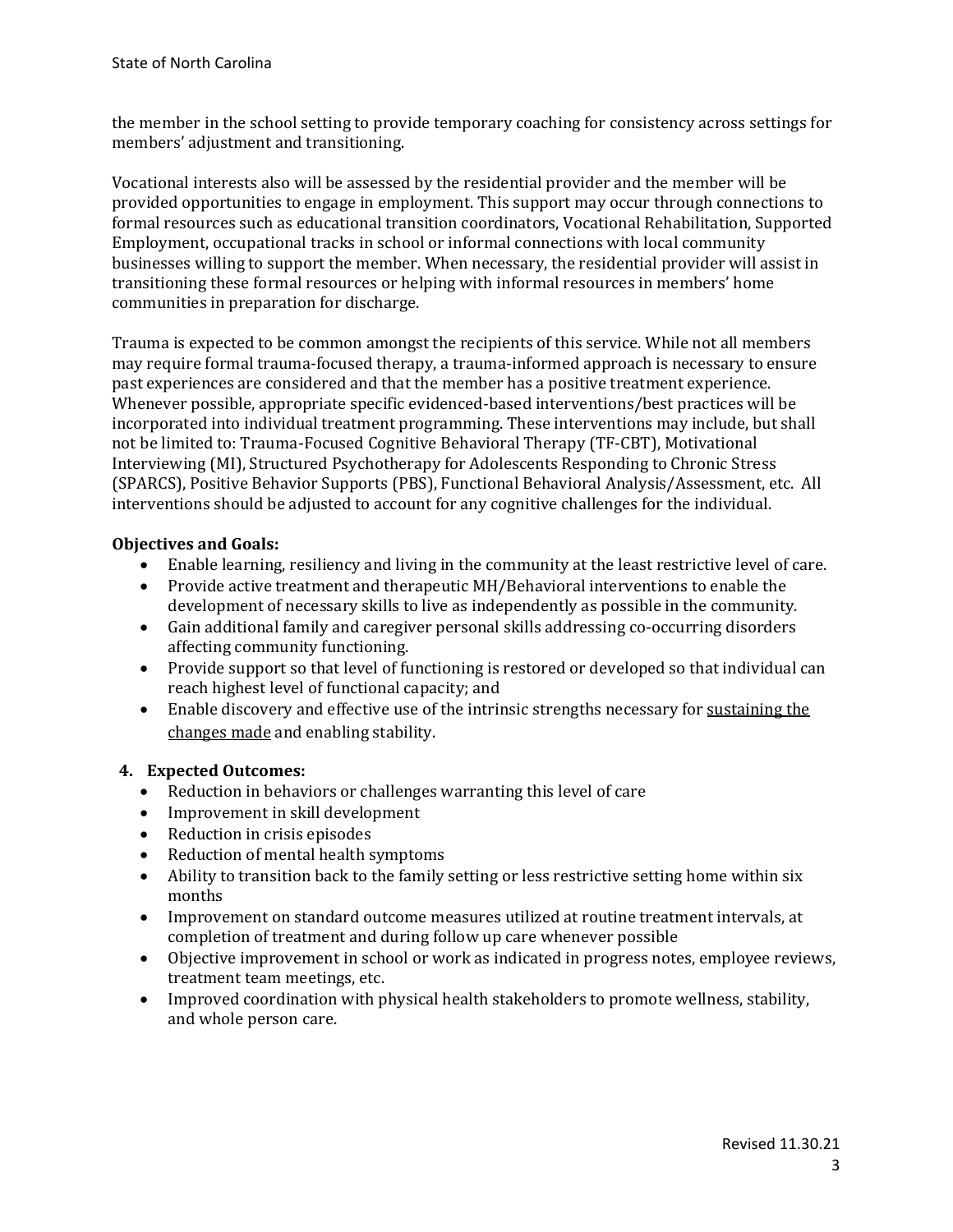the member in the school setting to provide temporary coaching for consistency across settings for members' adjustment and transitioning.

Vocational interests also will be assessed by the residential provider and the member will be provided opportunities to engage in employment. This support may occur through connections to formal resources such as educational transition coordinators, Vocational Rehabilitation, Supported Employment, occupational tracks in school or informal connections with local community businesses willing to support the member. When necessary, the residential provider will assist in transitioning these formal resources or helping with informal resources in members' home communities in preparation for discharge.

Trauma is expected to be common amongst the recipients of this service. While not all members may require formal trauma-focused therapy, a trauma-informed approach is necessary to ensure past experiences are considered and that the member has a positive treatment experience. Whenever possible, appropriate specific evidenced-based interventions/best practices will be incorporated into individual treatment programming. These interventions may include, but shall not be limited to: Trauma-Focused Cognitive Behavioral Therapy (TF-CBT), Motivational Interviewing (MI), Structured Psychotherapy for Adolescents Responding to Chronic Stress (SPARCS), Positive Behavior Supports (PBS), Functional Behavioral Analysis/Assessment, etc. All interventions should be adjusted to account for any cognitive challenges for the individual.

# **Objectives and Goals:**

- Enable learning, resiliency and living in the community at the least restrictive level of care.
- Provide active treatment and therapeutic MH/Behavioral interventions to enable the development of necessary skills to live as independently as possible in the community.
- Gain additional family and caregiver personal skills addressing co-occurring disorders affecting community functioning.
- Provide support so that level of functioning is restored or developed so that individual can reach highest level of functional capacity; and
- Enable discovery and effective use of the intrinsic strengths necessary for sustaining the changes made and enabling stability.

# **4. Expected Outcomes:**

- Reduction in behaviors or challenges warranting this level of care
- Improvement in skill development
- Reduction in crisis episodes
- Reduction of mental health symptoms<br>• Ability to transition back to the family
- Ability to transition back to the family setting or less restrictive setting home within six months
- Improvement on standard outcome measures utilized at routine treatment intervals, at completion of treatment and during follow up care whenever possible
- Objective improvement in school or work as indicated in progress notes, employee reviews, treatment team meetings, etc.
- Improved coordination with physical health stakeholders to promote wellness, stability, and whole person care.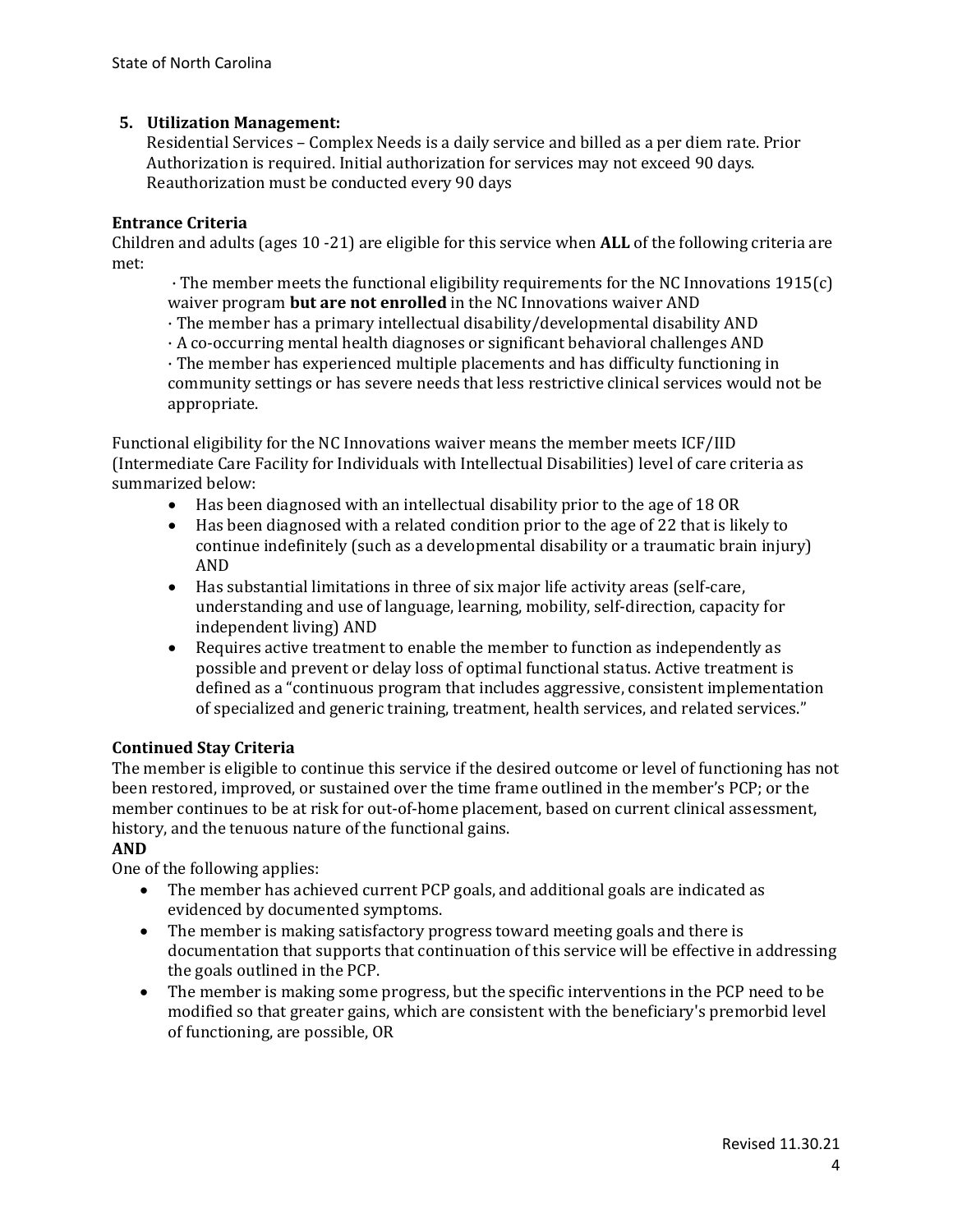# **5. Utilization Management:**

Residential Services – Complex Needs is a daily service and billed as a per diem rate. Prior Authorization is required. Initial authorization for services may not exceed 90 days. Reauthorization must be conducted every 90 days

#### **Entrance Criteria**

Children and adults (ages 10 -21) are eligible for this service when **ALL** of the following criteria are met:

· The member meets the functional eligibility requirements for the NC Innovations 1915(c) waiver program **but are not enrolled** in the NC Innovations waiver AND

- · The member has a primary intellectual disability/developmental disability AND
- · A co-occurring mental health diagnoses or significant behavioral challenges AND

· The member has experienced multiple placements and has difficulty functioning in community settings or has severe needs that less restrictive clinical services would not be appropriate.

Functional eligibility for the NC Innovations waiver means the member meets ICF/IID (Intermediate Care Facility for Individuals with Intellectual Disabilities) level of care criteria as summarized below:

- Has been diagnosed with an intellectual disability prior to the age of 18 OR
- Has been diagnosed with a related condition prior to the age of 22 that is likely to continue indefinitely (such as a developmental disability or a traumatic brain injury) AND
- Has substantial limitations in three of six major life activity areas (self-care, understanding and use of language, learning, mobility, self-direction, capacity for independent living) AND
- Requires active treatment to enable the member to function as independently as possible and prevent or delay loss of optimal functional status. Active treatment is defined as a "continuous program that includes aggressive, consistent implementation of specialized and generic training, treatment, health services, and related services."

#### **Continued Stay Criteria**

The member is eligible to continue this service if the desired outcome or level of functioning has not been restored, improved, or sustained over the time frame outlined in the member's PCP; or the member continues to be at risk for out-of-home placement, based on current clinical assessment, history, and the tenuous nature of the functional gains.

#### **AND**

One of the following applies:

- The member has achieved current PCP goals, and additional goals are indicated as evidenced by documented symptoms.
- The member is making satisfactory progress toward meeting goals and there is documentation that supports that continuation of this service will be effective in addressing the goals outlined in the PCP.
- The member is making some progress, but the specific interventions in the PCP need to be modified so that greater gains, which are consistent with the beneficiary's premorbid level of functioning, are possible, OR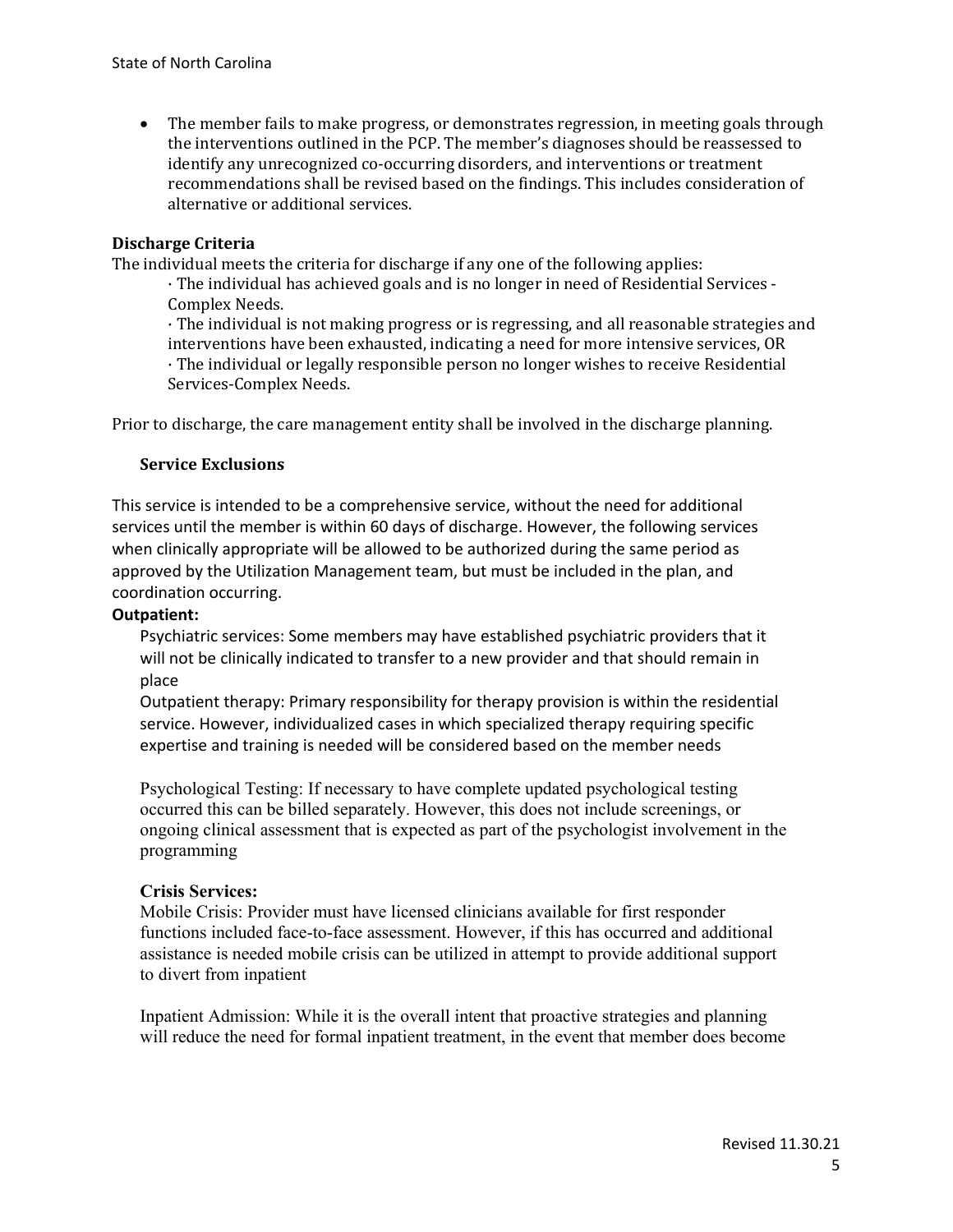• The member fails to make progress, or demonstrates regression, in meeting goals through the interventions outlined in the PCP. The member's diagnoses should be reassessed to identify any unrecognized co-occurring disorders, and interventions or treatment recommendations shall be revised based on the findings. This includes consideration of alternative or additional services.

# **Discharge Criteria**

The individual meets the criteria for discharge if any one of the following applies:

· The individual has achieved goals and is no longer in need of Residential Services - Complex Needs.

· The individual is not making progress or is regressing, and all reasonable strategies and interventions have been exhausted, indicating a need for more intensive services, OR · The individual or legally responsible person no longer wishes to receive Residential Services-Complex Needs.

Prior to discharge, the care management entity shall be involved in the discharge planning.

#### **Service Exclusions**

This service is intended to be a comprehensive service, without the need for additional services until the member is within 60 days of discharge. However, the following services when clinically appropriate will be allowed to be authorized during the same period as approved by the Utilization Management team, but must be included in the plan, and coordination occurring.

#### **Outpatient:**

Psychiatric services: Some members may have established psychiatric providers that it will not be clinically indicated to transfer to a new provider and that should remain in place

Outpatient therapy: Primary responsibility for therapy provision is within the residential service. However, individualized cases in which specialized therapy requiring specific expertise and training is needed will be considered based on the member needs

Psychological Testing: If necessary to have complete updated psychological testing occurred this can be billed separately. However, this does not include screenings, or ongoing clinical assessment that is expected as part of the psychologist involvement in the programming

#### **Crisis Services:**

Mobile Crisis: Provider must have licensed clinicians available for first responder functions included face-to-face assessment. However, if this has occurred and additional assistance is needed mobile crisis can be utilized in attempt to provide additional support to divert from inpatient

Inpatient Admission: While it is the overall intent that proactive strategies and planning will reduce the need for formal inpatient treatment, in the event that member does become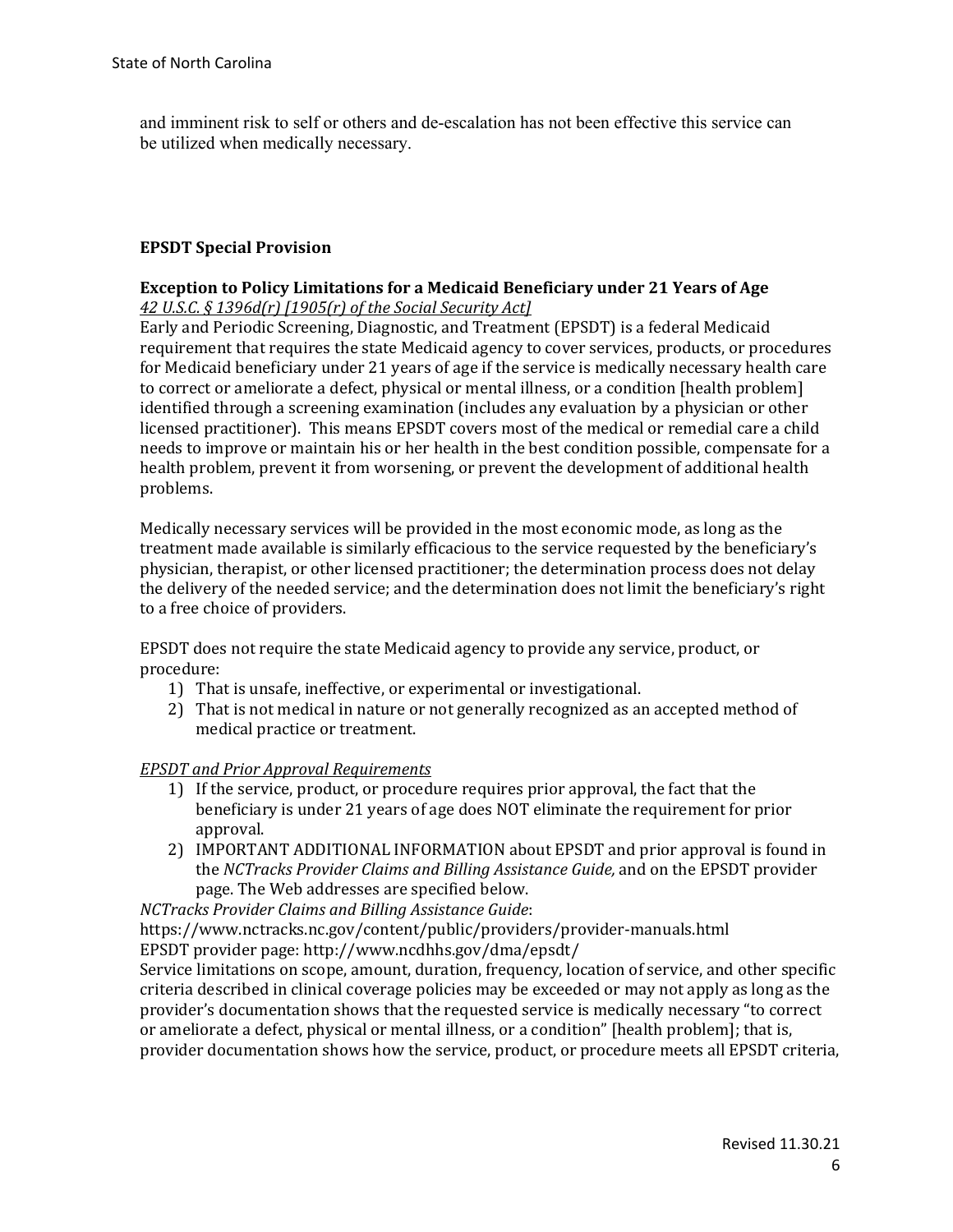and imminent risk to self or others and de-escalation has not been effective this service can be utilized when medically necessary.

#### **EPSDT Special Provision**

## **Exception to Policy Limitations for a Medicaid Beneficiary under 21 Years of Age**  *42 U.S.C. § 1396d(r) [1905(r) of the Social Security Act]*

Early and Periodic Screening, Diagnostic, and Treatment (EPSDT) is a federal Medicaid requirement that requires the state Medicaid agency to cover services, products, or procedures for Medicaid beneficiary under 21 years of age if the service is medically necessary health care to correct or ameliorate a defect, physical or mental illness, or a condition [health problem] identified through a screening examination (includes any evaluation by a physician or other licensed practitioner). This means EPSDT covers most of the medical or remedial care a child needs to improve or maintain his or her health in the best condition possible, compensate for a health problem, prevent it from worsening, or prevent the development of additional health problems.

Medically necessary services will be provided in the most economic mode, as long as the treatment made available is similarly efficacious to the service requested by the beneficiary's physician, therapist, or other licensed practitioner; the determination process does not delay the delivery of the needed service; and the determination does not limit the beneficiary's right to a free choice of providers.

EPSDT does not require the state Medicaid agency to provide any service, product, or procedure:

- 1) That is unsafe, ineffective, or experimental or investigational.
- 2) That is not medical in nature or not generally recognized as an accepted method of medical practice or treatment.

#### *EPSDT and Prior Approval Requirements*

- 1) If the service, product, or procedure requires prior approval, the fact that the beneficiary is under 21 years of age does NOT eliminate the requirement for prior approval.
- 2) IMPORTANT ADDITIONAL INFORMATION about EPSDT and prior approval is found in the *NCTracks Provider Claims and Billing Assistance Guide,* and on the EPSDT provider page. The Web addresses are specified below.

*NCTracks Provider Claims and Billing Assistance Guide*:

https://www.nctracks.nc.gov/content/public/providers/provider-manuals.html EPSDT provider page: http://www.ncdhhs.gov/dma/epsdt/

Service limitations on scope, amount, duration, frequency, location of service, and other specific criteria described in clinical coverage policies may be exceeded or may not apply as long as the provider's documentation shows that the requested service is medically necessary "to correct or ameliorate a defect, physical or mental illness, or a condition" [health problem]; that is, provider documentation shows how the service, product, or procedure meets all EPSDT criteria,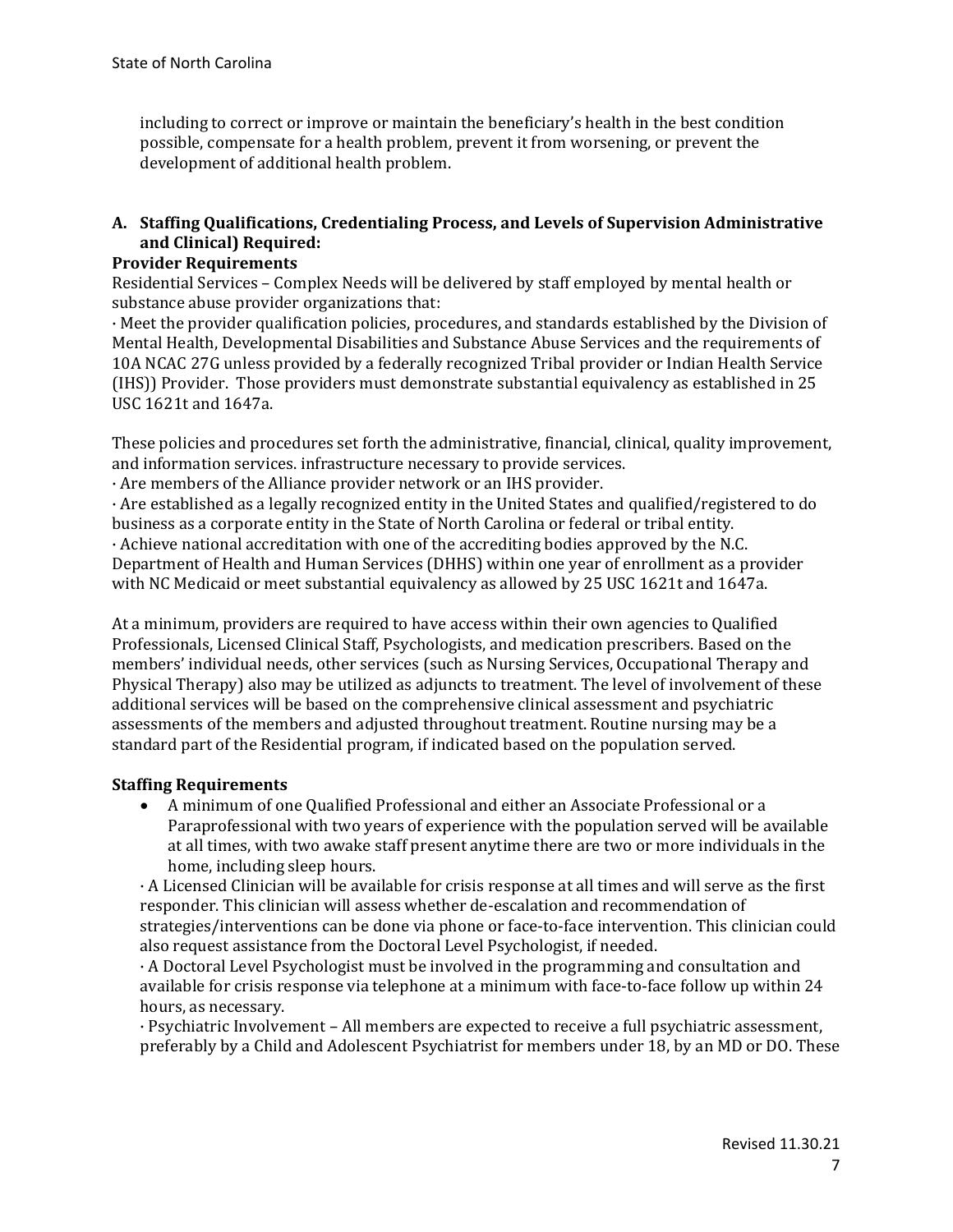including to correct or improve or maintain the beneficiary's health in the best condition possible, compensate for a health problem, prevent it from worsening, or prevent the development of additional health problem.

# **A. Staffing Qualifications, Credentialing Process, and Levels of Supervision Administrative and Clinical) Required:**

# **Provider Requirements**

Residential Services – Complex Needs will be delivered by staff employed by mental health or substance abuse provider organizations that:

· Meet the provider qualification policies, procedures, and standards established by the Division of Mental Health, Developmental Disabilities and Substance Abuse Services and the requirements of 10A NCAC 27G unless provided by a federally recognized Tribal provider or Indian Health Service (IHS)) Provider. Those providers must demonstrate substantial equivalency as established in 25 USC 1621t and 1647a.

These policies and procedures set forth the administrative, financial, clinical, quality improvement, and information services. infrastructure necessary to provide services.

· Are members of the Alliance provider network or an IHS provider.

· Are established as a legally recognized entity in the United States and qualified/registered to do business as a corporate entity in the State of North Carolina or federal or tribal entity.

· Achieve national accreditation with one of the accrediting bodies approved by the N.C. Department of Health and Human Services (DHHS) within one year of enrollment as a provider with NC Medicaid or meet substantial equivalency as allowed by 25 USC 1621t and 1647a.

At a minimum, providers are required to have access within their own agencies to Qualified Professionals, Licensed Clinical Staff, Psychologists, and medication prescribers. Based on the members' individual needs, other services (such as Nursing Services, Occupational Therapy and Physical Therapy) also may be utilized as adjuncts to treatment. The level of involvement of these additional services will be based on the comprehensive clinical assessment and psychiatric assessments of the members and adjusted throughout treatment. Routine nursing may be a standard part of the Residential program, if indicated based on the population served.

# **Staffing Requirements**

• A minimum of one Qualified Professional and either an Associate Professional or a Paraprofessional with two years of experience with the population served will be available at all times, with two awake staff present anytime there are two or more individuals in the home, including sleep hours.

· A Licensed Clinician will be available for crisis response at all times and will serve as the first responder. This clinician will assess whether de-escalation and recommendation of strategies/interventions can be done via phone or face-to-face intervention. This clinician could also request assistance from the Doctoral Level Psychologist, if needed.

· A Doctoral Level Psychologist must be involved in the programming and consultation and available for crisis response via telephone at a minimum with face-to-face follow up within 24 hours, as necessary.

· Psychiatric Involvement – All members are expected to receive a full psychiatric assessment, preferably by a Child and Adolescent Psychiatrist for members under 18, by an MD or DO. These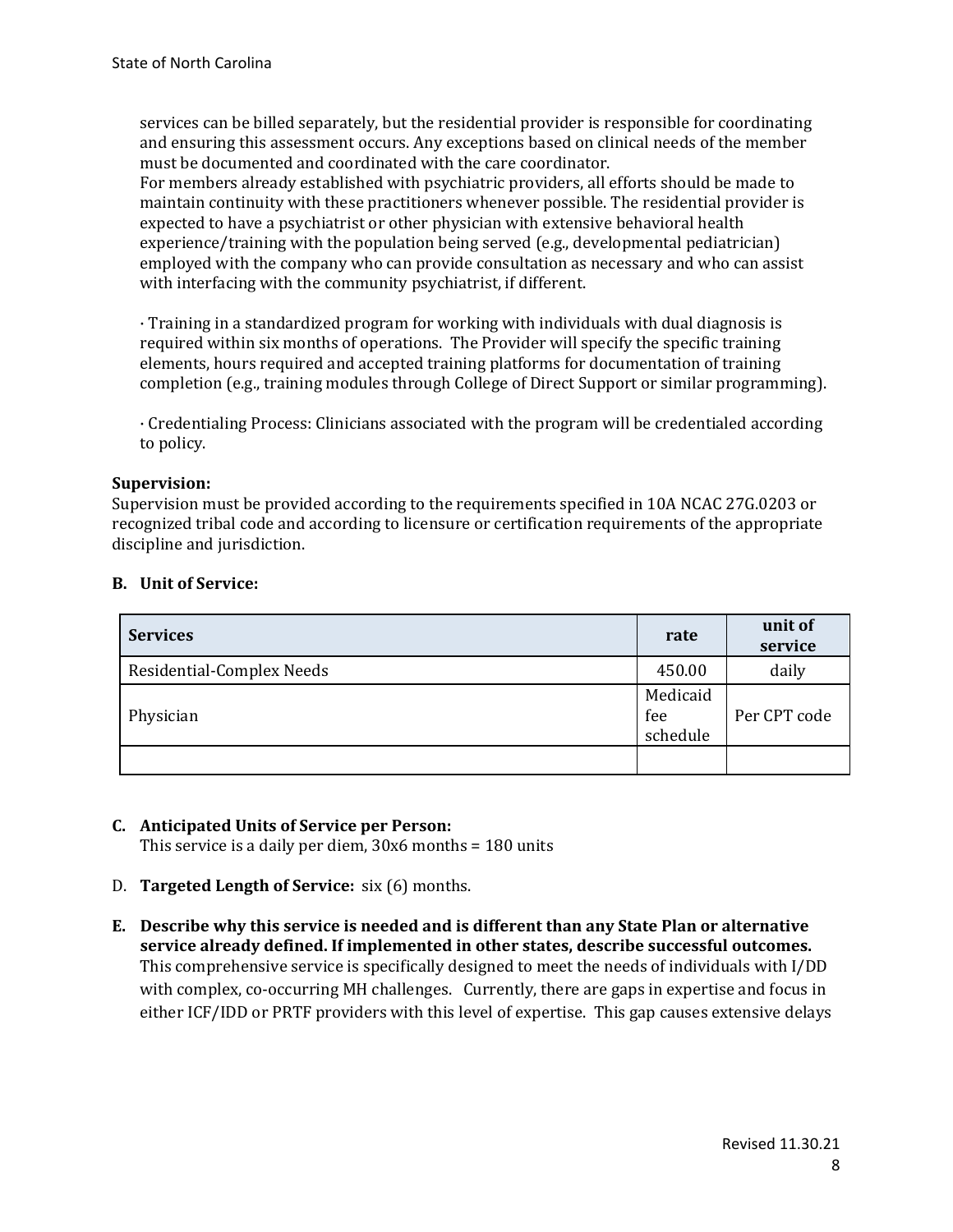services can be billed separately, but the residential provider is responsible for coordinating and ensuring this assessment occurs. Any exceptions based on clinical needs of the member must be documented and coordinated with the care coordinator.

For members already established with psychiatric providers, all efforts should be made to maintain continuity with these practitioners whenever possible. The residential provider is expected to have a psychiatrist or other physician with extensive behavioral health experience/training with the population being served (e.g., developmental pediatrician) employed with the company who can provide consultation as necessary and who can assist with interfacing with the community psychiatrist, if different.

· Training in a standardized program for working with individuals with dual diagnosis is required within six months of operations. The Provider will specify the specific training elements, hours required and accepted training platforms for documentation of training completion (e.g., training modules through College of Direct Support or similar programming).

· Credentialing Process: Clinicians associated with the program will be credentialed according to policy.

# **Supervision:**

Supervision must be provided according to the requirements specified in 10A NCAC 27G.0203 or recognized tribal code and according to licensure or certification requirements of the appropriate discipline and jurisdiction.

| <b>Services</b>           | rate                        | unit of<br>service |
|---------------------------|-----------------------------|--------------------|
| Residential-Complex Needs |                             | daily              |
| Physician                 | Medicaid<br>fee<br>schedule | Per CPT code       |
|                           |                             |                    |

#### **B. Unit of Service:**

#### **C. Anticipated Units of Service per Person:**

This service is a daily per diem, 30x6 months = 180 units

- D. **Targeted Length of Service:** six (6) months.
- **E. Describe why this service is needed and is different than any State Plan or alternative service already defined. If implemented in other states, describe successful outcomes.** This comprehensive service is specifically designed to meet the needs of individuals with I/DD with complex, co-occurring MH challenges. Currently, there are gaps in expertise and focus in either ICF/IDD or PRTF providers with this level of expertise. This gap causes extensive delays